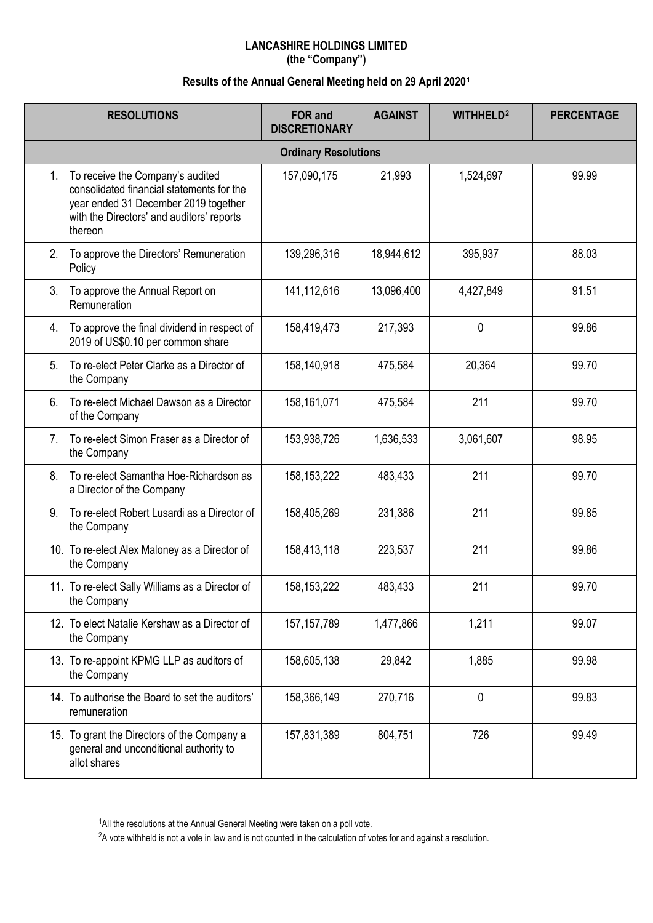## **LANCASHIRE HOLDINGS LIMITED (the "Company")**

## **Results of the Annual General Meeting held on 29 April 2020[1](#page-0-0)**

|                             | <b>RESOLUTIONS</b>                                                                                                                                                            | <b>FOR and</b><br><b>DISCRETIONARY</b> | <b>AGAINST</b> | <b>WITHHELD<sup>2</sup></b> | <b>PERCENTAGE</b> |  |  |  |
|-----------------------------|-------------------------------------------------------------------------------------------------------------------------------------------------------------------------------|----------------------------------------|----------------|-----------------------------|-------------------|--|--|--|
| <b>Ordinary Resolutions</b> |                                                                                                                                                                               |                                        |                |                             |                   |  |  |  |
| 1.                          | To receive the Company's audited<br>consolidated financial statements for the<br>year ended 31 December 2019 together<br>with the Directors' and auditors' reports<br>thereon | 157,090,175                            | 21,993         | 1,524,697                   | 99.99             |  |  |  |
| 2.                          | To approve the Directors' Remuneration<br>Policy                                                                                                                              | 139,296,316                            | 18,944,612     | 395,937                     | 88.03             |  |  |  |
| 3.                          | To approve the Annual Report on<br>Remuneration                                                                                                                               | 141,112,616                            | 13,096,400     | 4,427,849                   | 91.51             |  |  |  |
| 4.                          | To approve the final dividend in respect of<br>2019 of US\$0.10 per common share                                                                                              | 158,419,473                            | 217,393        | 0                           | 99.86             |  |  |  |
| 5.                          | To re-elect Peter Clarke as a Director of<br>the Company                                                                                                                      | 158,140,918                            | 475,584        | 20,364                      | 99.70             |  |  |  |
| 6.                          | To re-elect Michael Dawson as a Director<br>of the Company                                                                                                                    | 158,161,071                            | 475,584        | 211                         | 99.70             |  |  |  |
| 7.                          | To re-elect Simon Fraser as a Director of<br>the Company                                                                                                                      | 153,938,726                            | 1,636,533      | 3,061,607                   | 98.95             |  |  |  |
| 8.                          | To re-elect Samantha Hoe-Richardson as<br>a Director of the Company                                                                                                           | 158, 153, 222                          | 483,433        | 211                         | 99.70             |  |  |  |
| 9.                          | To re-elect Robert Lusardi as a Director of<br>the Company                                                                                                                    | 158,405,269                            | 231,386        | 211                         | 99.85             |  |  |  |
|                             | 10. To re-elect Alex Maloney as a Director of<br>the Company                                                                                                                  | 158,413,118                            | 223,537        | 211                         | 99.86             |  |  |  |
|                             | 11. To re-elect Sally Williams as a Director of<br>the Company                                                                                                                | 158, 153, 222                          | 483,433        | 211                         | 99.70             |  |  |  |
|                             | 12. To elect Natalie Kershaw as a Director of<br>the Company                                                                                                                  | 157, 157, 789                          | 1,477,866      | 1,211                       | 99.07             |  |  |  |
|                             | 13. To re-appoint KPMG LLP as auditors of<br>the Company                                                                                                                      | 158,605,138                            | 29,842         | 1,885                       | 99.98             |  |  |  |
|                             | 14. To authorise the Board to set the auditors'<br>remuneration                                                                                                               | 158,366,149                            | 270,716        | 0                           | 99.83             |  |  |  |
|                             | 15. To grant the Directors of the Company a<br>general and unconditional authority to<br>allot shares                                                                         | 157,831,389                            | 804,751        | 726                         | 99.49             |  |  |  |

<span id="page-0-0"></span> $1$ All the resolutions at the Annual General Meeting were taken on a poll vote.

 $\overline{a}$ 

<span id="page-0-1"></span><sup>&</sup>lt;sup>2</sup>A vote withheld is not a vote in law and is not counted in the calculation of votes for and against a resolution.